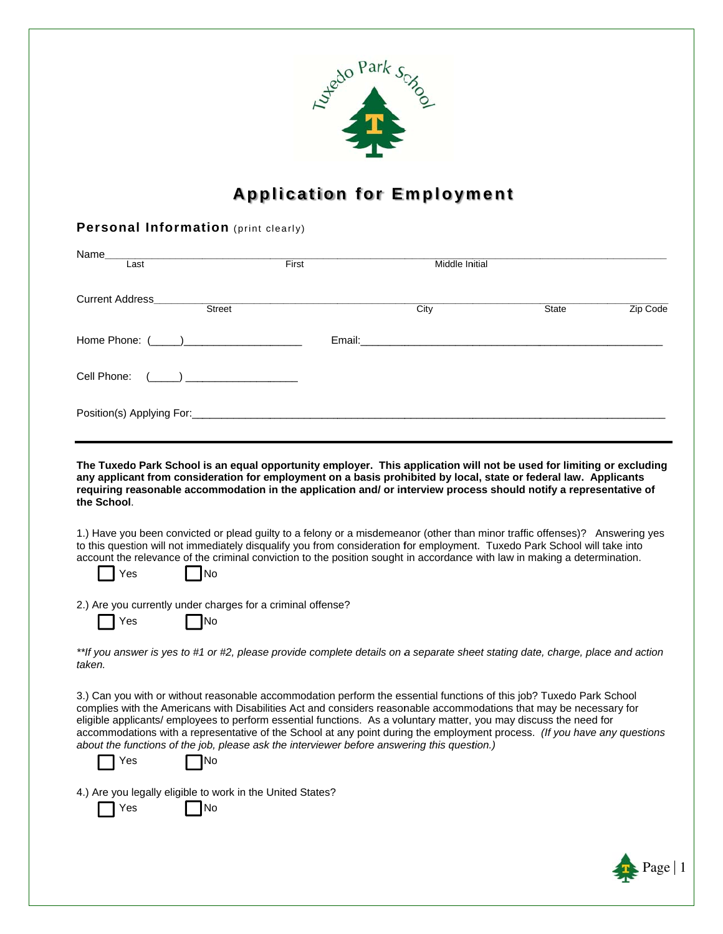

# **Application for Employment**

### Personal Information (print clearly)

| Name<br>Last                              | <b>First</b> | Middle Initial                                                                                                        |              |          |
|-------------------------------------------|--------------|-----------------------------------------------------------------------------------------------------------------------|--------------|----------|
| <b>Current Address</b><br>Street          |              | City                                                                                                                  | <b>State</b> | Zip Code |
|                                           | Email:       | <u> 1980 - Jan Samuel Barbara, martin da shekara tsara tsara tsara tsara tsara tsara tsara tsara tsara tsara tsar</u> |              |          |
| Cell Phone: (_____) _____________________ |              |                                                                                                                       |              |          |
|                                           |              |                                                                                                                       |              |          |

The Tuxedo Park School is an equal opportunity employer. This application will not be used for limiting or excluding any applicant from consideration for employment on a basis prohibited by local, state or federal law. Applicants requiring reasonable accommodation in the application and/ or interview process should notify a representative of the School.

1.) Have you been convicted or plead quilty to a felony or a misdemeanor (other than minor traffic offenses)? Answering yes to this question will not immediately disqualify you from consideration for employment. Tuxedo Park School will take into account the relevance of the criminal conviction to the position sought in accordance with law in making a determination.

N<sub>o</sub>

2.) Are you currently under charges for a criminal offense?

 $\Box$ No

| ×<br>۰.<br>۰,<br>× |
|--------------------|
|--------------------|

Yes

\*\*If you answer is yes to #1 or #2, please provide complete details on a separate sheet stating date, charge, place and action taken.

3.) Can you with or without reasonable accommodation perform the essential functions of this job? Tuxedo Park School complies with the Americans with Disabilities Act and considers reasonable accommodations that may be necessary for eligible applicants/ employees to perform essential functions. As a voluntary matter, you may discuss the need for accommodations with a representative of the School at any point during the employment process. (If you have any questions about the functions of the job, please ask the interviewer before answering this question.)

|  | ×<br>×<br>۰.<br>۰, |
|--|--------------------|
|--|--------------------|

|  | N<br>J |
|--|--------|
|--|--------|

4.) Are you legally eligible to work in the United States?

 $\Box$ No Yes

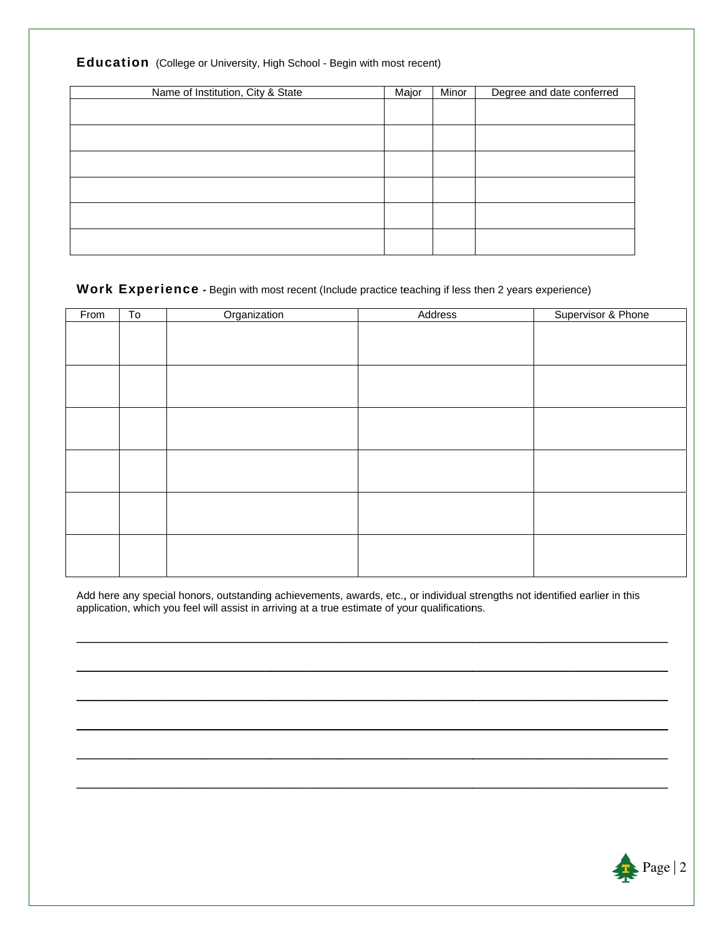| Name of Institution, City & State | Major | Minor | Degree and date conferred |
|-----------------------------------|-------|-------|---------------------------|
|                                   |       |       |                           |
|                                   |       |       |                           |
|                                   |       |       |                           |
|                                   |       |       |                           |
|                                   |       |       |                           |
|                                   |       |       |                           |
|                                   |       |       |                           |
|                                   |       |       |                           |
|                                   |       |       |                           |

#### Education (College or University, High School - Begin with most recent)

# Work Experience - Begin with most recent (Include practice teaching if less then 2 years experience)

| From | $\overline{10}$ | Organization | Address | Supervisor & Phone |
|------|-----------------|--------------|---------|--------------------|
|      |                 |              |         |                    |
|      |                 |              |         |                    |
|      |                 |              |         |                    |
|      |                 |              |         |                    |
|      |                 |              |         |                    |
|      |                 |              |         |                    |
|      |                 |              |         |                    |
|      |                 |              |         |                    |
|      |                 |              |         |                    |
|      |                 |              |         |                    |
|      |                 |              |         |                    |
|      |                 |              |         |                    |
|      |                 |              |         |                    |
|      |                 |              |         |                    |
|      |                 |              |         |                    |
|      |                 |              |         |                    |

Add here any special honors, outstanding achievements, awards, etc., or individual strengths not identified earlier in this application, which you feel will assist in arriving at a true estimate of your qualifications.